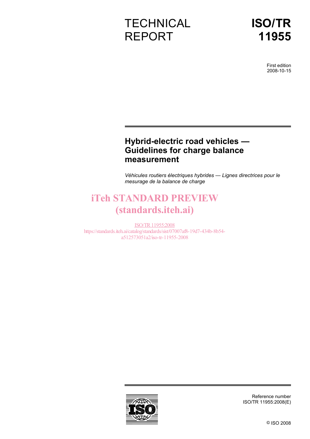# **TECHNICAL** REPORT

First edition 2008-10-15

### **Hybrid-electric road vehicles — Guidelines for charge balance measurement**

*Véhicules routiers électriques hybrides — Lignes directrices pour le mesurage de la balance de charge* 

# iTeh STANDARD PREVIEW (standards.iteh.ai)

ISO/TR11955:2008 https://standards.iteh.ai/catalog/standards/sist/07007af8-19d7-434b-8b54 a512573051a2/iso-tr-11955-2008



Reference number ISO/TR 11955:2008(E)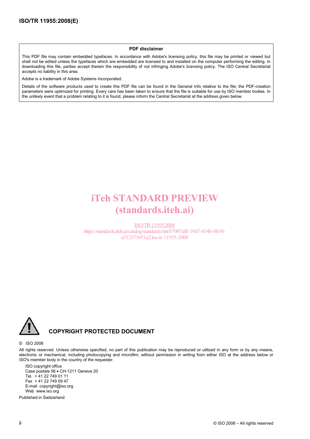#### **PDF disclaimer**

This PDF file may contain embedded typefaces. In accordance with Adobe's licensing policy, this file may be printed or viewed but shall not be edited unless the typefaces which are embedded are licensed to and installed on the computer performing the editing. In downloading this file, parties accept therein the responsibility of not infringing Adobe's licensing policy. The ISO Central Secretariat accepts no liability in this area.

Adobe is a trademark of Adobe Systems Incorporated.

Details of the software products used to create this PDF file can be found in the General Info relative to the file; the PDF-creation parameters were optimized for printing. Every care has been taken to ensure that the file is suitable for use by ISO member bodies. In the unlikely event that a problem relating to it is found, please inform the Central Secretariat at the address given below.

## iTeh STANDARD PREVIEW (standards.iteh.ai)

ISO/TR11955:2008 https://standards.iteh.ai/catalog/standards/sist/07007af8-19d7-434b-8b54 a512573051a2/iso-tr-11955-2008



#### **COPYRIGHT PROTECTED DOCUMENT**

#### © ISO 2008

All rights reserved. Unless otherwise specified, no part of this publication may be reproduced or utilized in any form or by any means, electronic or mechanical, including photocopying and microfilm, without permission in writing from either ISO at the address below or ISO's member body in the country of the requester.

ISO copyright office Case postale 56 • CH-1211 Geneva 20 Tel. + 41 22 749 01 11 Fax + 41 22 749 09 47 E-mail copyright@iso.org Web www.iso.org

Published in Switzerland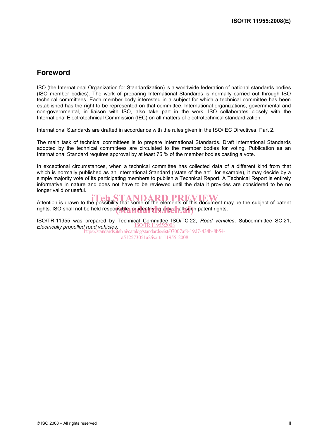### **Foreword**

ISO (the International Organization for Standardization) is a worldwide federation of national standards bodies (ISO member bodies). The work of preparing International Standards is normally carried out through ISO technical committees. Each member body interested in a subject for which a technical committee has been established has the right to be represented on that committee. International organizations, governmental and non-governmental, in liaison with ISO, also take part in the work. ISO collaborates closely with the International Electrotechnical Commission (IEC) on all matters of electrotechnical standardization.

International Standards are drafted in accordance with the rules given in the ISO/IEC Directives, Part 2.

The main task of technical committees is to prepare International Standards. Draft International Standards adopted by the technical committees are circulated to the member bodies for voting. Publication as an International Standard requires approval by at least 75 % of the member bodies casting a vote.

In exceptional circumstances, when a technical committee has collected data of a different kind from that which is normally published as an International Standard ("state of the art", for example), it may decide by a simple majority vote of its participating members to publish a Technical Report. A Technical Report is entirely informative in nature and does not have to be reviewed until the data it provides are considered to be no longer valid or useful.

Attention is drawn to the possibility that some of the elements of this document may be the subject of patent rights. ISO shall not be held responsible for identifying any or all such patent rights.

ISO/TR 11955 was prepared by Technical Committee ISO/TC 22, *Road vehicles*, Subcommittee SC 21, ISO/TR11955:2008 *Electrically propelled road vehicles*. https://standards.iteh.ai/catalog/standards/sist/07007af8-19d7-434b-8b54-

a512573051a2/iso-tr-11955-2008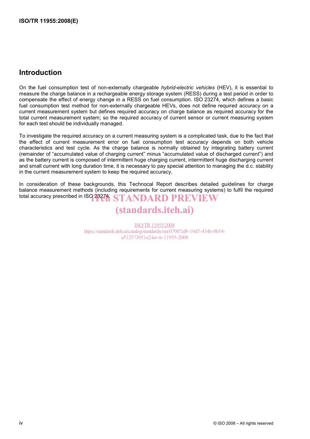### **Introduction**

On the fuel consumption test of non-externally chargeable *hybrid-electric vehicles* (HEV), it is essential to measure the charge balance in a rechargeable energy storage system (RESS) during a test period in order to compensate the effect of energy change in a RESS on fuel consumption. ISO 23274, which defines a basic fuel consumption test method for non-externally chargeable HEVs, does not define required accuracy on a current measurement system but defines required accuracy on charge balance as required accuracy for the total current measurement system; so the required accuracy of current sensor or current measuring system for each test should be individually managed.

To investigate the required accuracy on a current measuring system is a complicated task, due to the fact that the effect of current measurement error on fuel consumption test accuracy depends on both vehicle characteristics and test cycle. As the charge balance is normally obtained by integrating battery current (remainder of "accumulated value of charging current" minus "accumulated value of discharged current") and as the battery current is composed of intermittent huge charging current, intermittent huge discharging current and small current with long duration time, it is necessary to pay special attention to managing the d.c. stability in the current measurement system to keep the required accuracy.

In consideration of these backgrounds, this Technocal Report describes detailed guidelines for charge balance measurement methods (including requirements for current measuring systems) to fulfil the required total accuracy prescribed in ISO 28271 STANDARD PREVIEW

## (standards.iteh.ai)

ISO/TR11955:2008 https://standards.iteh.ai/catalog/standards/sist/07007af8-19d7-434b-8b54 a512573051a2/iso-tr-11955-2008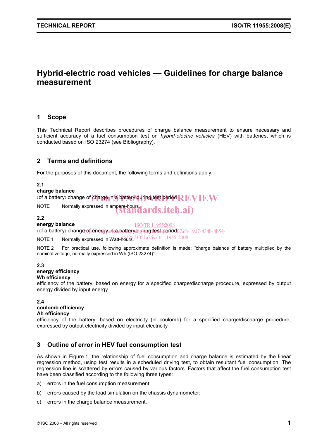### **Hybrid-electric road vehicles — Guidelines for charge balance measurement**

#### **1 Scope**

This Technical Report describes procedures of charge balance measurement to ensure necessary and sufficient accuracy of a fuel consumption test on *hybrid-electric vehicles* (HEV) with batteries, which is conducted based on ISO 23274 (see Bibliography).

#### **2 Terms and definitions**

For the purposes of this document, the following terms and definitions apply.

#### **2.1**

#### **charge balance**

 $\langle$  of a battery $\rangle$  change of charge in a battery during test period  $\bf REVEW$ 

NOTE Normally expressed in ampere-hours.  $($ standards.iteh.ai)

#### **2.2**

#### **energy balance**

ISO/TR11955:2008

(of a battery) change of energy in a battery dyring test/period 07af8-19d7-434b-8b54-

NOTE 1 Normally expressed in Watt- $\frac{12573051a2}{s}$  Note 11955-2008

NOTE 2 For practical use, following approximate definition is made: "charge balance of battery multiplied by the nominal voltage, normally expressed in Wh (ISO 23274)".

#### **2.3**

#### **energy efficiency**

#### **Wh efficiency**

efficiency of the battery, based on energy for a specified charge/discharge procedure, expressed by output energy divided by input energy

#### **2.4**

#### **coulomb efficiency**

#### **Ah efficiency**

efficiency of the battery, based on electricity (in coulomb) for a specified charge/discharge procedure, expressed by output electricity divided by input electricity

#### **3 Outline of error in HEV fuel consumption test**

As shown in Figure 1, the relationship of fuel consumption and charge balance is estimated by the linear regression method, using test results in a scheduled driving test, to obtain resultant fuel consumption. The regression line is scattered by errors caused by various factors. Factors that affect the fuel consumption test have been classified according to the following three types:

- a) errors in the fuel consumption measurement;
- b) errors caused by the load simulation on the chassis dynamometer;
- c) errors in the charge balance measurement.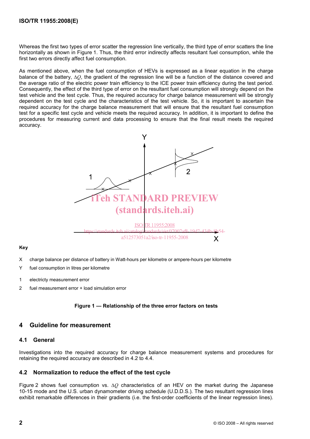#### **ISO/TR 11955:2008(E)**

Whereas the first two types of error scatter the regression line vertically, the third type of error scatters the line horizontally as shown in Figure 1. Thus, the third error indirectly affects resultant fuel consumption, while the first two errors directly affect fuel consumption.

As mentioned above, when the fuel consumption of HEVs is expressed as a linear equation in the charge balance of the battery, ∆*Q*, the gradient of the regression line will be a function of the distance covered and the average ratio of the electric power train efficiency to the ICE power train efficiency during the test period. Consequently, the effect of the third type of error on the resultant fuel consumption will strongly depend on the test vehicle and the test cycle. Thus, the required accuracy for charge balance measurement will be strongly dependent on the test cycle and the characteristics of the test vehicle. So, it is important to ascertain the required accuracy for the charge balance measurement that will ensure that the resultant fuel consumption test for a specific test cycle and vehicle meets the required accuracy. In addition, it is important to define the procedures for measuring current and data processing to ensure that the final result meets the required accuracy.



#### **Key**

- X charge balance per distance of battery in Watt-hours per kilometre or ampere-hours per kilometre
- Y fuel consumption in litres per kilometre
- 1 electricty measurement error
- 2 fuel measurement error + load simulation error

#### **Figure 1 — Relationship of the three error factors on tests**

#### **4 Guideline for measurement**

#### **4.1 General**

Investigations into the required accuracy for charge balance measurement systems and procedures for retaining the required accuracy are described in 4.2 to 4.4.

#### **4.2 Normalization to reduce the effect of the test cycle**

Figure 2 shows fuel consumption vs. ∆*Q* characteristics of an HEV on the market during the Japanese 10-15 mode and the U.S. urban dynamometer driving schedule (U.D.D.S.). The two resultant regression lines exhibit remarkable differences in their gradients (i.e. the first-order coefficients of the linear regression lines).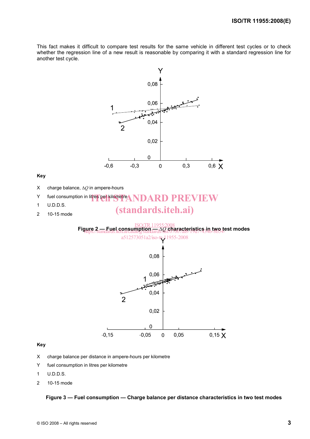This fact makes it difficult to compare test results for the same vehicle in different test cycles or to check whether the regression line of a new result is reasonable by comparing it with a standard regression line for another test cycle.



#### **Key**

- X charge balance per distance in ampere-hours per kilometre
- Y fuel consumption in litres per kilometre
- 1 U.D.D.S.
- 2 10-15 mode

#### **Figure 3 — Fuel consumption — Charge balance per distance characteristics in two test modes**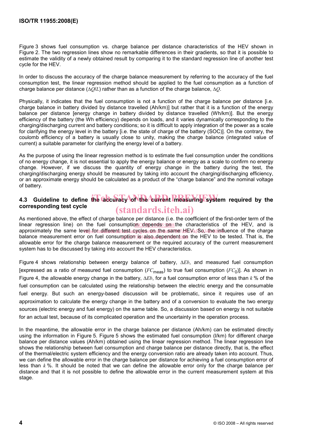Figure 3 shows fuel consumption vs. charge balance per distance characteristics of the HEV shown in Figure 2. The two regression lines show no remarkable differences in their gradients, so that it is possible to estimate the validity of a newly obtained result by comparing it to the standard regression line of another test cycle for the HEV.

In order to discuss the accuracy of the charge balance measurement by referring to the accuracy of the fuel consumption test, the linear regression method should be applied to the fuel consumption as a function of charge balance per distance (∆*Q*/*L*) rather than as a function of the charge balance, ∆*Q*.

Physically, it indicates that the fuel consumption is not a function of the charge balance per distance [i.e. charge balance in battery divided by distance travelled (Ah/km)] but rather that it is a function of the energy balance per distance [energy change in battery divided by distance travelled (Wh/km)]. But the energy efficiency of the battery (the Wh efficiency) depends on loads, and it varies dynamically corresponding to the charging/discharging current and battery conditions; so it is difficult to apply integration of the power as a scale for clarifying the energy level in the battery [i.e. the state of charge of the battery (SOC)]. On the contrary, the coulomb efficiency of a battery is usually close to unity, making the charge balance (integrated value of current) a suitable parameter for clarifying the energy level of a battery.

As the purpose of using the linear regression method is to estimate the fuel consumption under the conditions of no energy change, it is not essential to apply the energy balance or energy as a scale to confirm no energy change. However, if we discuss the quantity of energy change in the battery during the test, the charging/discharging energy should be measured by taking into account the charging/discharging efficiency, or an approximate energy should be calculated as a product of the "charge balance" and the nominal voltage of battery.

#### 4.3 Guideline to define the accuracy of the current measuring system required by the **corresponding test cycle**  (standards.iteh.ai)

As mentioned above, the effect of charge balance per distance (i.e. the coefficient of the first-order term of the linear regression line) on the fuel consumption cdepends on the characteristics of the HEV, and is approximately the same le<u>vel for different Itestacycles non the s</u>ame HEVdSo, the linfluence of the charge balance measurement error on fuel consumption is also dependent on the HEV to be tested. That is, the allowable error for the charge balance measurement or the required accuracy of the current measurement system has to be discussed by taking into account the HEV characteristics.

Figure 4 shows relationship between energy balance of battery, ∆*Eb*, and measured fuel consumption [expressed as a ratio of measured fuel consumption (*FC*meas) to true fuel consumption (*FC*0)]. As shown in Figure 4, the allowable energy change in the battery, ∆*Eb*, for a fuel consumption error of less than *k* % of the fuel consumption can be calculated using the relationship between the electric energy and the consumable fuel energy. But such an energy-based discussion will be problematic, since it requires use of an approximation to calculate the energy change in the battery and of a conversion to evaluate the two energy sources (electric energy and fuel energy) on the same table. So, a discussion based on energy is not suitable for an actual test, because of its complicated operation and the uncertainty in the operation process.

In the meantime, the allowable error in the charge balance per distance (Ah/km) can be estimated directly using the information in Figure 5. Figure 5 shows the estimated fuel consumption (l/km) for different charge balance per distance values (Ah/km) obtained using the linear regression method. The linear regression line shows the relationship between fuel consumption and charge balance per distance directly, that is, the effect of the thermal/electric system efficiency and the energy conversion ratio are already taken into account. Thus, we can define the allowable error in the charge balance per distance for achieving a fuel consumption error of less than *k* %. It should be noted that we can define the allowable error only for the charge balance per distance and that it is not possible to define the allowable error in the current measurement system at this stage.